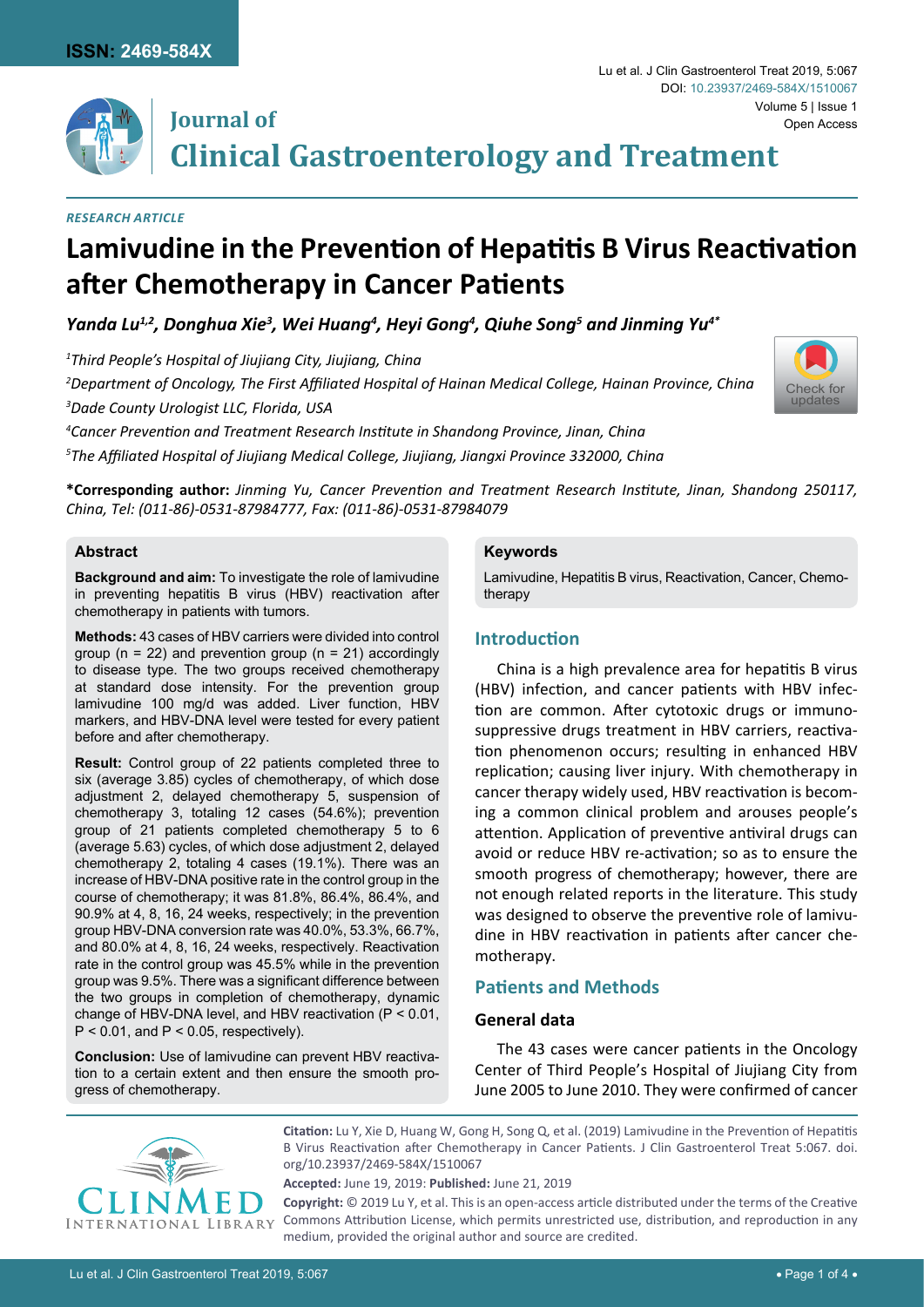

## **Journal of**

**Clinical Gastroenterology and Treatment**

#### *Research Article*

# **Lamivudine in the Prevention of Hepatitis B Virus Reactivation after Chemotherapy in Cancer Patients**

Yanda Lu $^{1,2}$ , Donghua Xie<sup>3</sup>, Wei Huang<sup>4</sup>, Heyi Gong<sup>4</sup>, Qiuhe Song<sup>5</sup> and Jinming Yu<sup>4\*</sup>

*1 Third People's Hospital of Jiujiang City, Jiujiang, China*

*2 Department of Oncology, The First Affiliated Hospital of Hainan Medical College, Hainan Province, China*

*3 Dade County Urologist LLC, Florida, USA* 

*4 Cancer Prevention and Treatment Research Institute in Shandong Province, Jinan, China 5 The Affiliated Hospital of Jiujiang Medical College, Jiujiang, Jiangxi Province 332000, China* 

**\*Corresponding author:** *Jinming Yu, Cancer Prevention and Treatment Research Institute, Jinan, Shandong 250117, China, Tel: (011-86)-0531-87984777, Fax: (011-86)-0531-87984079*

#### **Abstract**

**Background and aim:** To investigate the role of lamivudine in preventing hepatitis B virus (HBV) reactivation after chemotherapy in patients with tumors.

**Methods:** 43 cases of HBV carriers were divided into control group ( $n = 22$ ) and prevention group ( $n = 21$ ) accordingly to disease type. The two groups received chemotherapy at standard dose intensity. For the prevention group lamivudine 100 mg/d was added. Liver function, HBV markers, and HBV-DNA level were tested for every patient before and after chemotherapy.

**Result:** Control group of 22 patients completed three to six (average 3.85) cycles of chemotherapy, of which dose adjustment 2, delayed chemotherapy 5, suspension of chemotherapy 3, totaling 12 cases (54.6%); prevention group of 21 patients completed chemotherapy 5 to 6 (average 5.63) cycles, of which dose adjustment 2, delayed chemotherapy 2, totaling 4 cases (19.1%). There was an increase of HBV-DNA positive rate in the control group in the course of chemotherapy; it was 81.8%, 86.4%, 86.4%, and 90.9% at 4, 8, 16, 24 weeks, respectively; in the prevention group HBV-DNA conversion rate was 40.0%, 53.3%, 66.7%, and 80.0% at 4, 8, 16, 24 weeks, respectively. Reactivation rate in the control group was 45.5% while in the prevention group was 9.5%. There was a significant difference between the two groups in completion of chemotherapy, dynamic change of HBV-DNA level, and HBV reactivation (P < 0.01,  $P < 0.01$ , and  $P < 0.05$ , respectively).

**Conclusion:** Use of lamivudine can prevent HBV reactivation to a certain extent and then ensure the smooth progress of chemotherapy.

#### **Keywords**

Lamivudine, Hepatitis B virus, Reactivation, Cancer, Chemotherapy

### **Introduction**

China is a high prevalence area for hepatitis B virus (HBV) infection, and cancer patients with HBV infection are common. After cytotoxic drugs or immunosuppressive drugs treatment in HBV carriers, reactivation phenomenon occurs; resulting in enhanced HBV replication; causing liver injury. With chemotherapy in cancer therapy widely used, HBV reactivation is becoming a common clinical problem and arouses people's attention. Application of preventive antiviral drugs can avoid or reduce HBV re-activation; so as to ensure the smooth progress of chemotherapy; however, there are not enough related reports in the literature. This study was designed to observe the preventive role of lamivudine in HBV reactivation in patients after cancer chemotherapy.

### **Patients and Methods**

#### **General data**

The 43 cases were cancer patients in the Oncology Center of Third People's Hospital of Jiujiang City from June 2005 to June 2010. They were confirmed of cancer



**Citation:** Lu Y, Xie D, Huang W, Gong H, Song Q, et al. (2019) Lamivudine in the Prevention of Hepatitis B Virus Reactivation after Chemotherapy in Cancer Patients. J Clin Gastroenterol Treat 5:067. [doi.](https://doi.org/10.23937/2469-584X/1510067) [org/10.23937/2469-584X/1510067](https://doi.org/10.23937/2469-584X/1510067)

**Accepted:** June 19, 2019: **Published:** June 21, 2019

**Copyright:** © 2019 Lu Y, et al. This is an open-access article distributed under the terms of the Creative Commons Attribution License, which permits unrestricted use, distribution, and reproduction in any medium, provided the original author and source are credited.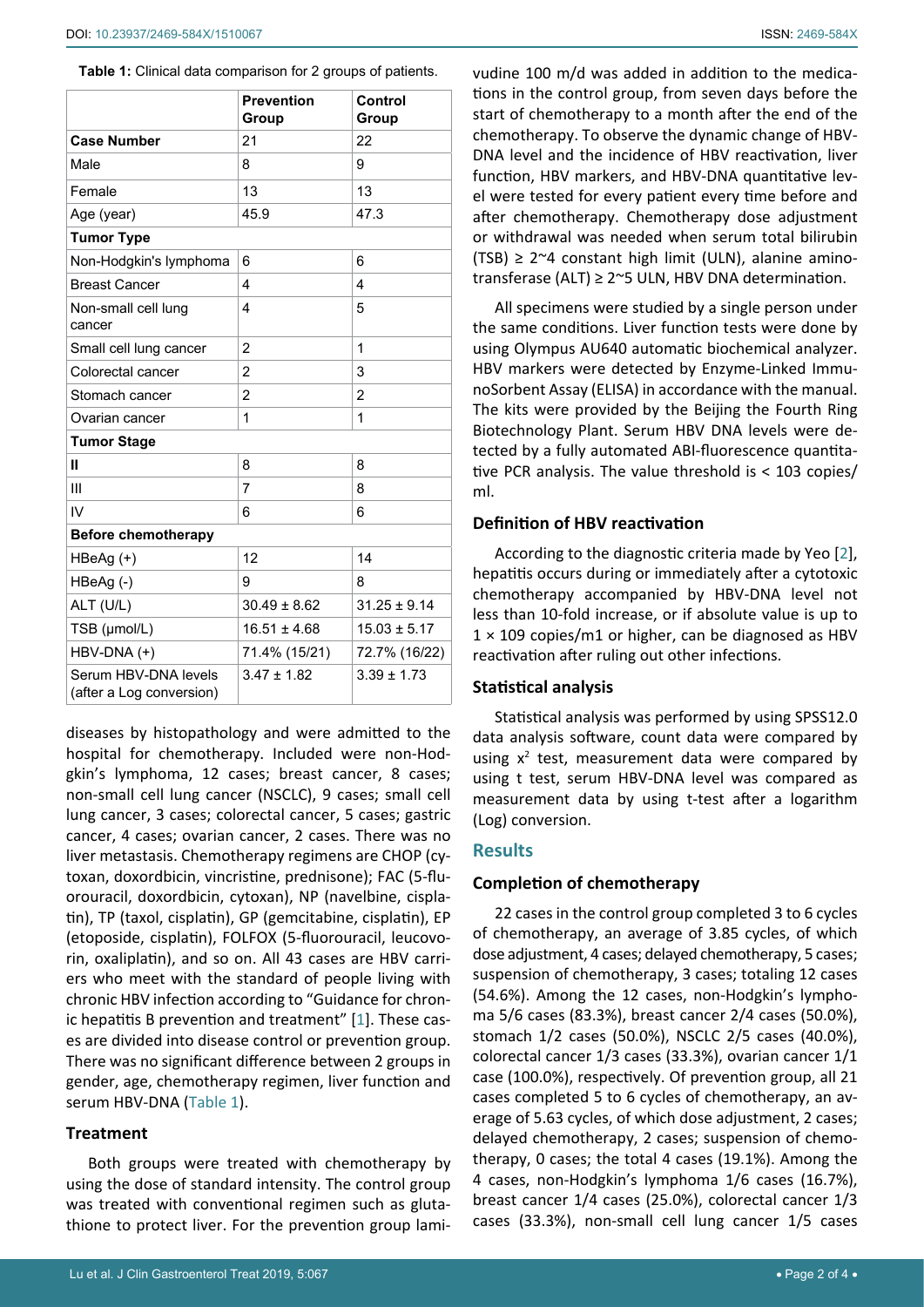<span id="page-1-0"></span>

|                                                  | <b>Prevention</b><br>Group           | Control<br>Group |  |  |  |  |
|--------------------------------------------------|--------------------------------------|------------------|--|--|--|--|
| <b>Case Number</b>                               | 21                                   | 22               |  |  |  |  |
| Male                                             | 8                                    | 9                |  |  |  |  |
| Female                                           | 13                                   | 13               |  |  |  |  |
| Age (year)                                       | 45.9<br>47.3                         |                  |  |  |  |  |
| <b>Tumor Type</b>                                |                                      |                  |  |  |  |  |
| Non-Hodgkin's lymphoma                           | 6<br>6                               |                  |  |  |  |  |
| <b>Breast Cancer</b>                             | 4<br>$\overline{\mathbf{4}}$         |                  |  |  |  |  |
| Non-small cell lung<br>cancer                    | $\overline{\mathbf{4}}$              | 5                |  |  |  |  |
| Small cell lung cancer                           | $\overline{2}$                       | 1                |  |  |  |  |
| Colorectal cancer                                | $\overline{2}$                       | 3                |  |  |  |  |
| Stomach cancer                                   | $\overline{2}$                       | $\overline{2}$   |  |  |  |  |
| Ovarian cancer                                   | 1                                    | 1                |  |  |  |  |
| <b>Tumor Stage</b>                               |                                      |                  |  |  |  |  |
| Ш                                                | 8                                    | 8                |  |  |  |  |
| Ш                                                | 7                                    | 8                |  |  |  |  |
| IV                                               | 6                                    | 6                |  |  |  |  |
| <b>Before chemotherapy</b>                       |                                      |                  |  |  |  |  |
| HBeAg (+)                                        | 12                                   | 14               |  |  |  |  |
| HBeAg (-)                                        | 9<br>8                               |                  |  |  |  |  |
| ALT (U/L)                                        | $30.49 \pm 8.62$<br>$31.25 \pm 9.14$ |                  |  |  |  |  |
| TSB (µmol/L)                                     | $16.51 \pm 4.68$<br>$15.03 \pm 5.17$ |                  |  |  |  |  |
| HBV-DNA (+)                                      | 71.4% (15/21)<br>72.7% (16/22)       |                  |  |  |  |  |
| Serum HBV-DNA levels<br>(after a Log conversion) | $3.39 + 1.73$<br>$3.47 + 1.82$       |                  |  |  |  |  |

diseases by histopathology and were admitted to the hospital for chemotherapy. Included were non-Hodgkin's lymphoma, 12 cases; breast cancer, 8 cases; non-small cell lung cancer (NSCLC), 9 cases; small cell lung cancer, 3 cases; colorectal cancer, 5 cases; gastric cancer, 4 cases; ovarian cancer, 2 cases. There was no liver metastasis. Chemotherapy regimens are CHOP (cytoxan, doxordbicin, vincristine, prednisone); FAC (5-fluorouracil, doxordbicin, cytoxan), NP (navelbine, cisplatin), TP (taxol, cisplatin), GP (gemcitabine, cisplatin), EP (etoposide, cisplatin), FOLFOX (5-fluorouracil, leucovorin, oxaliplatin), and so on. All 43 cases are HBV carriers who meet with the standard of people living with chronic HBV infection according to "Guidance for chronic hepatitis B prevention and treatment" [[1](#page-3-1)]. These cases are divided into disease control or prevention group. There was no significant difference between 2 groups in gender, age, chemotherapy regimen, liver function and serum HBV-DNA ([Table 1](#page-1-0)).

#### **Treatment**

Both groups were treated with chemotherapy by using the dose of standard intensity. The control group was treated with conventional regimen such as glutathione to protect liver. For the prevention group lamivudine 100 m/d was added in addition to the medications in the control group, from seven days before the start of chemotherapy to a month after the end of the chemotherapy. To observe the dynamic change of HBV-DNA level and the incidence of HBV reactivation, liver function, HBV markers, and HBV-DNA quantitative level were tested for every patient every time before and after chemotherapy. Chemotherapy dose adjustment or withdrawal was needed when serum total bilirubin (TSB)  $\geq$  2~4 constant high limit (ULN), alanine aminotransferase (ALT)  $\geq$  2~5 ULN, HBV DNA determination.

All specimens were studied by a single person under the same conditions. Liver function tests were done by using Olympus AU640 automatic biochemical analyzer. HBV markers were detected by Enzyme-Linked ImmunoSorbent Assay (ELISA) in accordance with the manual. The kits were provided by the Beijing the Fourth Ring Biotechnology Plant. Serum HBV DNA levels were detected by a fully automated ABI-fluorescence quantitative PCR analysis. The value threshold is < 103 copies/ ml.

## **Definition of HBV reactivation**

According to the diagnostic criteria made by Yeo [[2\]](#page-3-0), hepatitis occurs during or immediately after a cytotoxic chemotherapy accompanied by HBV-DNA level not less than 10-fold increase, or if absolute value is up to  $1 \times 109$  copies/m1 or higher, can be diagnosed as HBV reactivation after ruling out other infections.

## **Statistical analysis**

Statistical analysis was performed by using SPSS12.0 data analysis software, count data were compared by using  $x^2$  test, measurement data were compared by using t test, serum HBV-DNA level was compared as measurement data by using t-test after a logarithm (Log) conversion.

## **Results**

## **Completion of chemotherapy**

22 cases in the control group completed 3 to 6 cycles of chemotherapy, an average of 3.85 cycles, of which dose adjustment, 4 cases; delayed chemotherapy, 5 cases; suspension of chemotherapy, 3 cases; totaling 12 cases (54.6%). Among the 12 cases, non-Hodgkin's lymphoma 5/6 cases (83.3%), breast cancer 2/4 cases (50.0%), stomach 1/2 cases (50.0%), NSCLC 2/5 cases (40.0%), colorectal cancer 1/3 cases (33.3%), ovarian cancer 1/1 case (100.0%), respectively. Of prevention group, all 21 cases completed 5 to 6 cycles of chemotherapy, an average of 5.63 cycles, of which dose adjustment, 2 cases; delayed chemotherapy, 2 cases; suspension of chemotherapy, 0 cases; the total 4 cases (19.1%). Among the 4 cases, non-Hodgkin's lymphoma 1/6 cases (16.7%), breast cancer 1/4 cases (25.0%), colorectal cancer 1/3 cases (33.3%), non-small cell lung cancer 1/5 cases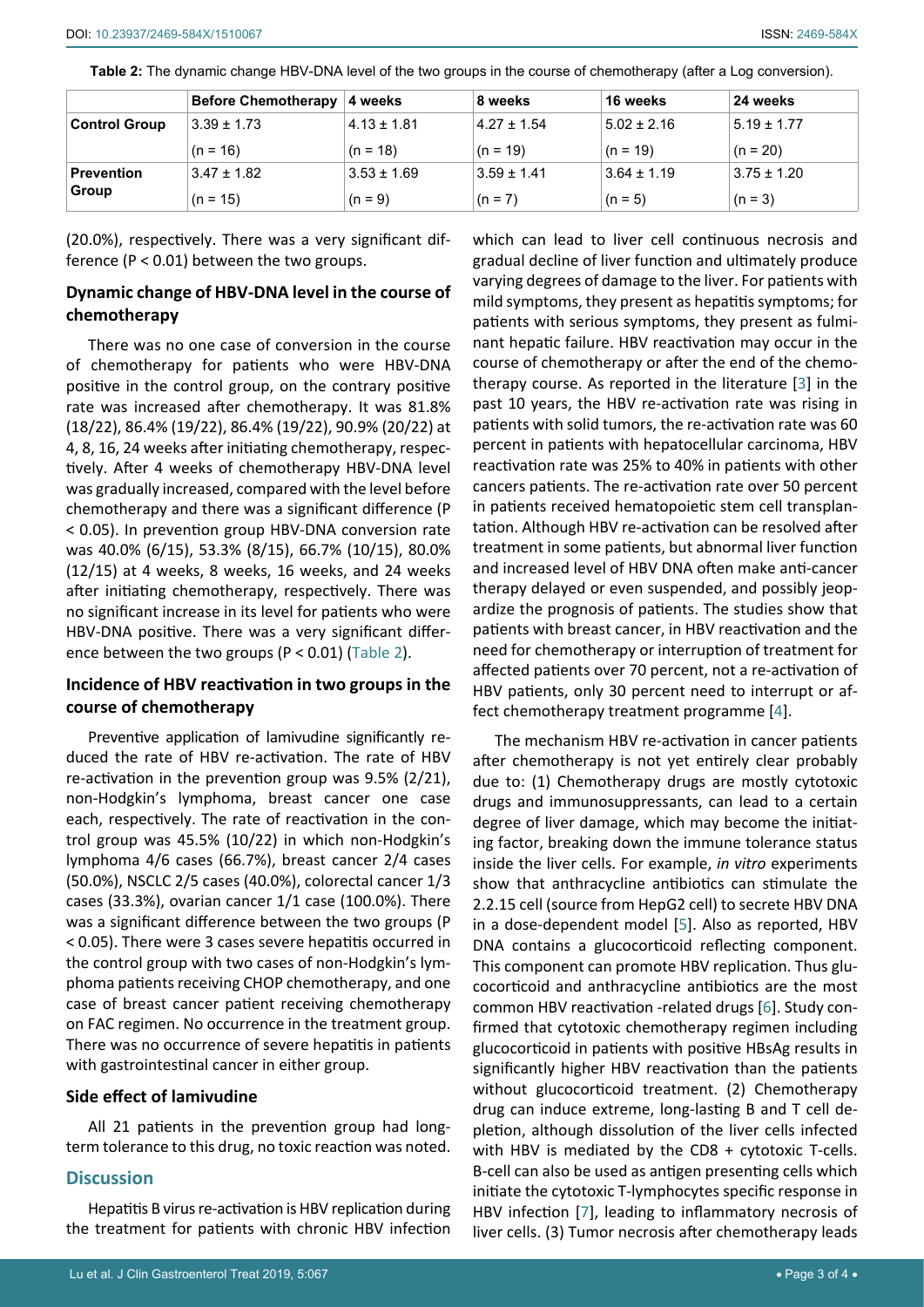|                      | <b>Before Chemotherapy</b> | 4 weeks         | 8 weeks         | 16 weeks        | 24 weeks        |
|----------------------|----------------------------|-----------------|-----------------|-----------------|-----------------|
| <b>Control Group</b> | $3.39 \pm 1.73$            | $4.13 \pm 1.81$ | $4.27 \pm 1.54$ | $5.02 \pm 2.16$ | $5.19 \pm 1.77$ |
|                      | $(n = 16)$                 | $(n = 18)$      | $(n = 19)$      | $(n = 19)$      | $(n = 20)$      |
| <b>Prevention</b>    | $3.47 \pm 1.82$            | $3.53 \pm 1.69$ | $3.59 \pm 1.41$ | $3.64 \pm 1.19$ | $3.75 \pm 1.20$ |
| Group                | $(n = 15)$                 | $(n = 9)$       | $(n = 7)$       | $(n = 5)$       | $(n = 3)$       |

<span id="page-2-0"></span>**Table 2:** The dynamic change HBV-DNA level of the two groups in the course of chemotherapy (after a Log conversion).

(20.0%), respectively. There was a very significant difference (P < 0.01) between the two groups.

## **Dynamic change of HBV-DNA level in the course of chemotherapy**

There was no one case of conversion in the course of chemotherapy for patients who were HBV-DNA positive in the control group, on the contrary positive rate was increased after chemotherapy. It was 81.8% (18/22), 86.4% (19/22), 86.4% (19/22), 90.9% (20/22) at 4, 8, 16, 24 weeks after initiating chemotherapy, respectively. After 4 weeks of chemotherapy HBV-DNA level was gradually increased, compared with the level before chemotherapy and there was a significant difference (P < 0.05). In prevention group HBV-DNA conversion rate was 40.0% (6/15), 53.3% (8/15), 66.7% (10/15), 80.0% (12/15) at 4 weeks, 8 weeks, 16 weeks, and 24 weeks after initiating chemotherapy, respectively. There was no significant increase in its level for patients who were HBV-DNA positive. There was a very significant difference between the two groups (P < 0.01) ([Table 2](#page-2-0)).

### **Incidence of HBV reactivation in two groups in the course of chemotherapy**

Preventive application of lamivudine significantly reduced the rate of HBV re-activation. The rate of HBV re-activation in the prevention group was 9.5% (2/21), non-Hodgkin's lymphoma, breast cancer one case each, respectively. The rate of reactivation in the control group was 45.5% (10/22) in which non-Hodgkin's lymphoma 4/6 cases (66.7%), breast cancer 2/4 cases (50.0%), NSCLC 2/5 cases (40.0%), colorectal cancer 1/3 cases (33.3%), ovarian cancer 1/1 case (100.0%). There was a significant difference between the two groups (P < 0.05). There were 3 cases severe hepatitis occurred in the control group with two cases of non-Hodgkin's lymphoma patients receiving CHOP chemotherapy, and one case of breast cancer patient receiving chemotherapy on FAC regimen. No occurrence in the treatment group. There was no occurrence of severe hepatitis in patients with gastrointestinal cancer in either group.

### **Side effect of lamivudine**

All 21 patients in the prevention group had longterm tolerance to this drug, no toxic reaction was noted.

### **Discussion**

Hepatitis B virus re-activation is HBV replication during the treatment for patients with chronic HBV infection which can lead to liver cell continuous necrosis and gradual decline of liver function and ultimately produce varying degrees of damage to the liver. For patients with mild symptoms, they present as hepatitis symptoms; for patients with serious symptoms, they present as fulminant hepatic failure. HBV reactivation may occur in the course of chemotherapy or after the end of the chemotherapy course. As reported in the literature [[3\]](#page-3-2) in the past 10 years, the HBV re-activation rate was rising in patients with solid tumors, the re-activation rate was 60 percent in patients with hepatocellular carcinoma, HBV reactivation rate was 25% to 40% in patients with other cancers patients. The re-activation rate over 50 percent in patients received hematopoietic stem cell transplantation. Although HBV re-activation can be resolved after treatment in some patients, but abnormal liver function and increased level of HBV DNA often make anti-cancer therapy delayed or even suspended, and possibly jeopardize the prognosis of patients. The studies show that patients with breast cancer, in HBV reactivation and the need for chemotherapy or interruption of treatment for affected patients over 70 percent, not a re-activation of HBV patients, only 30 percent need to interrupt or affect chemotherapy treatment programme [[4](#page-3-3)].

The mechanism HBV re-activation in cancer patients after chemotherapy is not yet entirely clear probably due to: (1) Chemotherapy drugs are mostly cytotoxic drugs and immunosuppressants, can lead to a certain degree of liver damage, which may become the initiating factor, breaking down the immune tolerance status inside the liver cells. For example, *in vitro* experiments show that anthracycline antibiotics can stimulate the 2.2.15 cell (source from HepG2 cell) to secrete HBV DNA in a dose-dependent model [\[5\]](#page-3-4). Also as reported, HBV DNA contains a glucocorticoid reflecting component. This component can promote HBV replication. Thus glucocorticoid and anthracycline antibiotics are the most common HBV reactivation -related drugs [[6](#page-3-5)]. Study confirmed that cytotoxic chemotherapy regimen including glucocorticoid in patients with positive HBsAg results in significantly higher HBV reactivation than the patients without glucocorticoid treatment. (2) Chemotherapy drug can induce extreme, long-lasting B and T cell depletion, although dissolution of the liver cells infected with HBV is mediated by the CD8 + cytotoxic T-cells. B-cell can also be used as antigen presenting cells which initiate the cytotoxic T-lymphocytes specific response in HBV infection [\[7\]](#page-3-6), leading to inflammatory necrosis of liver cells. (3) Tumor necrosis after chemotherapy leads